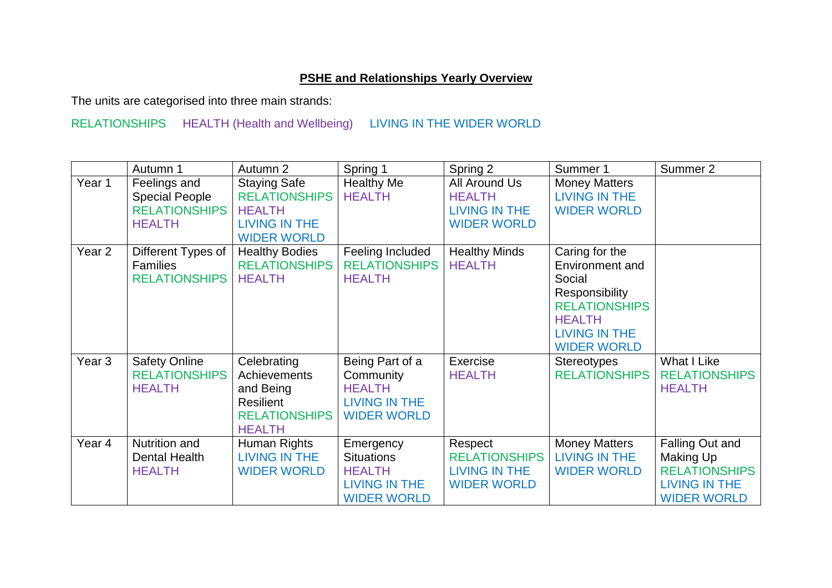## **PSHE and Relationships Yearly Overview**

The units are categorised into three main strands:

## RELATIONSHIPS HEALTH (Health and Wellbeing) LIVING IN THE WIDER WORLD

|                   | Autumn 1                                                                       | Autumn 2                                                                                                   | Spring 1                                                                                      | Spring 2                                                               | Summer 1                                                                                                                                             | Summer 2                                                                                                  |
|-------------------|--------------------------------------------------------------------------------|------------------------------------------------------------------------------------------------------------|-----------------------------------------------------------------------------------------------|------------------------------------------------------------------------|------------------------------------------------------------------------------------------------------------------------------------------------------|-----------------------------------------------------------------------------------------------------------|
| Year 1            | Feelings and<br><b>Special People</b><br><b>RELATIONSHIPS</b><br><b>HEALTH</b> | <b>Staying Safe</b><br><b>RELATIONSHIPS</b><br><b>HEALTH</b><br><b>LIVING IN THE</b><br><b>WIDER WORLD</b> | <b>Healthy Me</b><br><b>HEALTH</b>                                                            | All Around Us<br><b>HEALTH</b><br>LIVING IN THE<br><b>WIDER WORLD</b>  | <b>Money Matters</b><br><b>LIVING IN THE</b><br><b>WIDER WORLD</b>                                                                                   |                                                                                                           |
| Year <sub>2</sub> | Different Types of<br><b>Families</b><br><b>RELATIONSHIPS</b>                  | <b>Healthy Bodies</b><br><b>RELATIONSHIPS</b><br><b>HEALTH</b>                                             | Feeling Included<br><b>RELATIONSHIPS</b><br><b>HEALTH</b>                                     | <b>Healthy Minds</b><br><b>HEALTH</b>                                  | Caring for the<br>Environment and<br>Social<br>Responsibility<br><b>RELATIONSHIPS</b><br><b>HEALTH</b><br><b>LIVING IN THE</b><br><b>WIDER WORLD</b> |                                                                                                           |
| Year <sub>3</sub> | <b>Safety Online</b><br><b>RELATIONSHIPS</b><br><b>HEALTH</b>                  | Celebrating<br>Achievements<br>and Being<br><b>Resilient</b><br><b>RELATIONSHIPS</b><br><b>HEALTH</b>      | Being Part of a<br>Community<br><b>HEALTH</b><br><b>LIVING IN THE</b><br><b>WIDER WORLD</b>   | Exercise<br><b>HEALTH</b>                                              | <b>Stereotypes</b><br><b>RELATIONSHIPS</b>                                                                                                           | <b>What I Like</b><br><b>RELATIONSHIPS</b><br><b>HEALTH</b>                                               |
| Year <sub>4</sub> | Nutrition and<br>Dental Health<br><b>HEALTH</b>                                | Human Rights<br><b>LIVING IN THE</b><br><b>WIDER WORLD</b>                                                 | Emergency<br><b>Situations</b><br><b>HEALTH</b><br><b>LIVING IN THE</b><br><b>WIDER WORLD</b> | Respect<br><b>RELATIONSHIPS</b><br>LIVING IN THE<br><b>WIDER WORLD</b> | <b>Money Matters</b><br><b>LIVING IN THE</b><br><b>WIDER WORLD</b>                                                                                   | Falling Out and<br><b>Making Up</b><br><b>RELATIONSHIPS</b><br><b>LIVING IN THE</b><br><b>WIDER WORLD</b> |